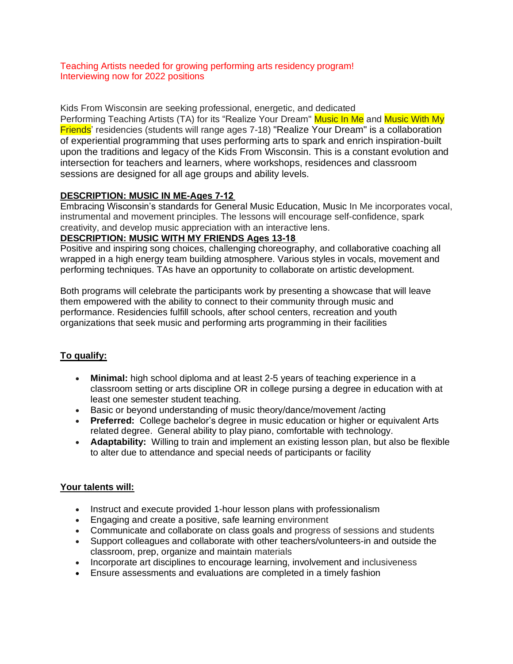Teaching Artists needed for growing performing arts residency program! Interviewing now for 2022 positions

Kids From Wisconsin are seeking professional, energetic, and dedicated

Performing Teaching Artists (TA) for its "Realize Your Dream" Music In Me and Music With My Friends' residencies (students will range ages 7-18) "Realize Your Dream" is a collaboration of experiential programming that uses performing arts to spark and enrich inspiration-built upon the traditions and legacy of the Kids From Wisconsin. This is a constant evolution and intersection for teachers and learners, where workshops, residences and classroom sessions are designed for all age groups and ability levels.

## **DESCRIPTION: MUSIC IN ME-Ages 7-12**

Embracing Wisconsin's standards for General Music Education, Music In Me incorporates vocal, instrumental and movement principles. The lessons will encourage self-confidence, spark creativity, and develop music appreciation with an interactive lens. 

## **DESCRIPTION: MUSIC WITH MY FRIENDS Ages 13-18**

Positive and inspiring song choices, challenging choreography, and collaborative coaching all wrapped in a high energy team building atmosphere. Various styles in vocals, movement and performing techniques. TAs have an opportunity to collaborate on artistic development.

Both programs will celebrate the participants work by presenting a showcase that will leave them empowered with the ability to connect to their community through music and performance. Residencies fulfill schools, after school centers, recreation and youth organizations that seek music and performing arts programming in their facilities

# **To qualify:**

- **Minimal:** high school diploma and at least 2-5 years of teaching experience in a classroom setting or arts discipline OR in college pursing a degree in education with at least one semester student teaching.
- Basic or beyond understanding of music theory/dance/movement /acting
- **Preferred:** College bachelor's degree in music education or higher or equivalent Arts related degree. General ability to play piano, comfortable with technology.
- **Adaptability:** Willing to train and implement an existing lesson plan, but also be flexible to alter due to attendance and special needs of participants or facility

# **Your talents will:**

- Instruct and execute provided 1-hour lesson plans with professionalism
- Engaging and create a positive, safe learning environment
- Communicate and collaborate on class goals and progress of sessions and students
- Support colleagues and collaborate with other teachers/volunteers-in and outside the classroom, prep, organize and maintain materials
- Incorporate art disciplines to encourage learning, involvement and inclusiveness
- Ensure assessments and evaluations are completed in a timely fashion